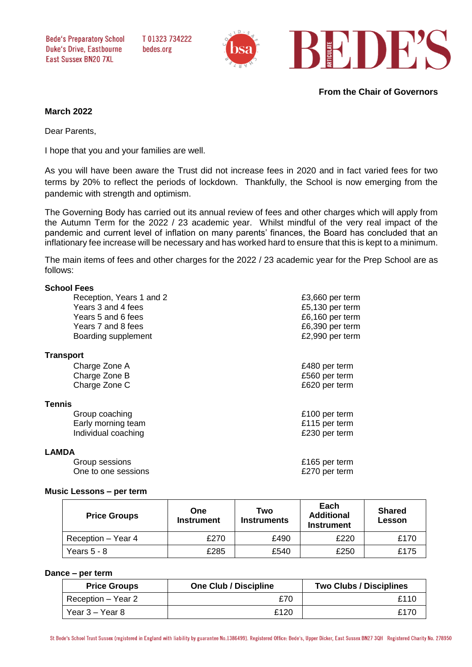**Bede's Preparatory School Duke's Drive, Eastbourne Fast Sussex BN20 7XI** 

T01323734222 bedes.org



**From the Chair of Governors**

# **March 2022**

Dear Parents,

I hope that you and your families are well.

As you will have been aware the Trust did not increase fees in 2020 and in fact varied fees for two terms by 20% to reflect the periods of lockdown. Thankfully, the School is now emerging from the pandemic with strength and optimism.

The Governing Body has carried out its annual review of fees and other charges which will apply from the Autumn Term for the 2022 / 23 academic year. Whilst mindful of the very real impact of the pandemic and current level of inflation on many parents' finances, the Board has concluded that an inflationary fee increase will be necessary and has worked hard to ensure that this is kept to a minimum.

The main items of fees and other charges for the 2022 / 23 academic year for the Prep School are as follows:

## **School Fees**

| Reception, Years 1 and 2 | £3,660 per term |
|--------------------------|-----------------|
| Years 3 and 4 fees       | £5,130 per term |
| Years 5 and 6 fees       | £6,160 per term |
| Years 7 and 8 fees       | £6,390 per term |
| Boarding supplement      | £2,990 per term |
| <b>Transport</b>         |                 |
| Charge Zone A            | £480 per term   |
| Charge Zone B            | £560 per term   |
| Charge Zone C            | £620 per term   |
| <b>Tennis</b>            |                 |
| Group coaching           | £100 per term   |
| Early morning team       | £115 per term   |
| Individual coaching      | £230 per term   |
| <b>LAMDA</b>             |                 |
| Group sessions           | £165 per term   |
| One to one sessions      | £270 per term   |

### **Music Lessons – per term**

| <b>Price Groups</b> | One<br><b>Instrument</b> | Two<br><b>Instruments</b> | Each<br><b>Additional</b><br><b>Instrument</b> | <b>Shared</b><br><b>Lesson</b> |
|---------------------|--------------------------|---------------------------|------------------------------------------------|--------------------------------|
| Reception - Year 4  | £270                     | £490                      | £220                                           | £170                           |
| Years $5 - 8$       | £285                     | £540                      | £250                                           | £175                           |

#### **Dance – per term**

| <b>Price Groups</b> | <b>One Club / Discipline</b> | <b>Two Clubs / Disciplines</b> |
|---------------------|------------------------------|--------------------------------|
| Reception – Year 2  | £70                          | £110                           |
| Year 3 – Year 8     | £120                         | £17በ                           |